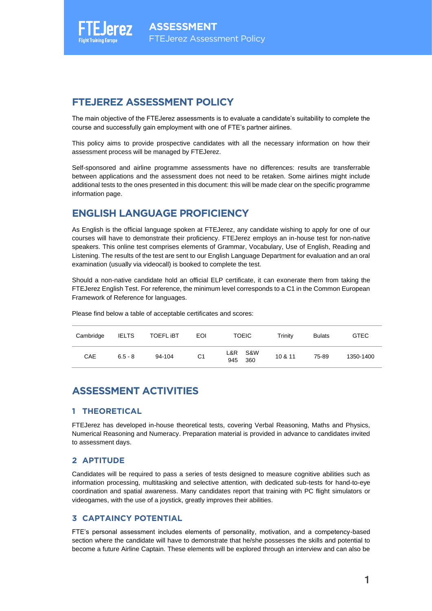## **FTEJEREZ ASSESSMENT POLICY**

The main objective of the FTEJerez assessments is to evaluate a candidate's suitability to complete the course and successfully gain employment with one of FTE's partner airlines.

This policy aims to provide prospective candidates with all the necessary information on how their assessment process will be managed by FTEJerez.

Self-sponsored and airline programme assessments have no differences: results are transferrable between applications and the assessment does not need to be retaken. Some airlines might include additional tests to the ones presented in this document: this will be made clear on the specific programme information page.

# **ENGLISH LANGUAGE PROFICIENCY**

As English is the official language spoken at FTEJerez, any candidate wishing to apply for one of our courses will have to demonstrate their proficiency. FTEJerez employs an in-house test for non-native speakers. This online test comprises elements of Grammar, Vocabulary, Use of English, Reading and Listening. The results of the test are sent to our English Language Department for evaluation and an oral examination (usually via videocall) is booked to complete the test.

Should a non-native candidate hold an official ELP certificate, it can exonerate them from taking the FTEJerez English Test. For reference, the minimum level corresponds to a C1 in the Common European Framework of Reference for languages.

| Cambridge | <b>IELTS</b> | <b>TOEFL IBT</b> | EOI | <b>TOEIC</b>          | Trinitv | <b>Bulats</b> | <b>GTEC</b> |
|-----------|--------------|------------------|-----|-----------------------|---------|---------------|-------------|
| CAE       | $6.5 - 8$    | 94-104           | C1  | L&R S&W<br>360<br>945 | 10 & 11 | 75-89         | 1350-1400   |

Please find below a table of acceptable certificates and scores:

## **ASSESSMENT ACTIVITIES**

#### **1 THEORETICAL**

FTEJerez has developed in-house theoretical tests, covering Verbal Reasoning, Maths and Physics, Numerical Reasoning and Numeracy. Preparation material is provided in advance to candidates invited to assessment days.

#### **2 APTITUDE**

Candidates will be required to pass a series of tests designed to measure cognitive abilities such as information processing, multitasking and selective attention, with dedicated sub-tests for hand-to-eye coordination and spatial awareness. Many candidates report that training with PC flight simulators or videogames, with the use of a joystick, greatly improves their abilities.

#### **3 CAPTAINCY POTENTIAL**

FTE's personal assessment includes elements of personality, motivation, and a competency-based section where the candidate will have to demonstrate that he/she possesses the skills and potential to become a future Airline Captain. These elements will be explored through an interview and can also be